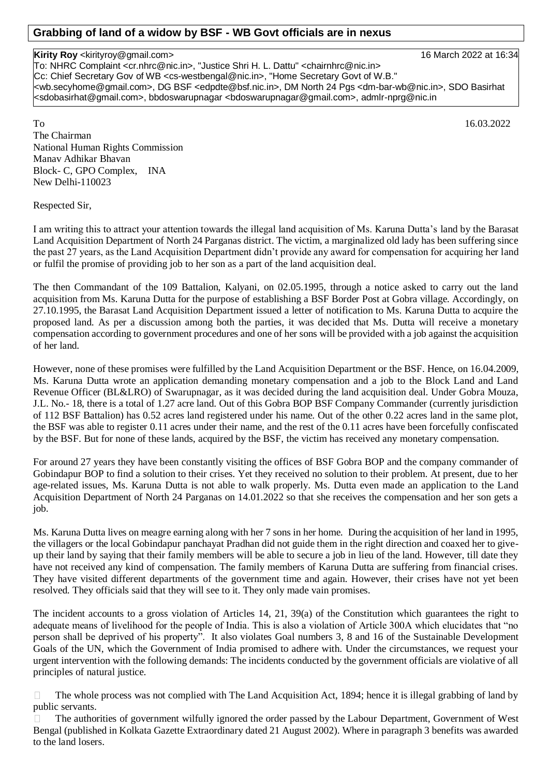## **Grabbing of land of a widow by BSF - WB Govt officials are in nexus**

## **Kirity Roy** <kirityroy@gmail.com> 16 March 2022 at 16:34

To: NHRC Complaint <cr.nhrc@nic.in>, "Justice Shri H. L. Dattu" <chairnhrc@nic.in> Cc: Chief Secretary Gov of WB <cs-westbengal@nic.in>, "Home Secretary Govt of W.B." <wb.secyhome@gmail.com>, DG BSF <edpdte@bsf.nic.in>, DM North 24 Pgs <dm-bar-wb@nic.in>, SDO Basirhat <sdobasirhat@gmail.com>, bbdoswarupnagar <bdoswarupnagar@gmail.com>, admlr-nprg@nic.in

To 16.03.2022 The Chairman National Human Rights Commission Manav Adhikar Bhavan Block- C, GPO Complex, INA New Delhi-110023

Respected Sir,

I am writing this to attract your attention towards the illegal land acquisition of Ms. Karuna Dutta's land by the Barasat Land Acquisition Department of North 24 Parganas district. The victim, a marginalized old lady has been suffering since the past 27 years, as the Land Acquisition Department didn't provide any award for compensation for acquiring her land or fulfil the promise of providing job to her son as a part of the land acquisition deal.

The then Commandant of the 109 Battalion, Kalyani, on 02.05.1995, through a notice asked to carry out the land acquisition from Ms. Karuna Dutta for the purpose of establishing a BSF Border Post at Gobra village. Accordingly, on 27.10.1995, the Barasat Land Acquisition Department issued a letter of notification to Ms. Karuna Dutta to acquire the proposed land. As per a discussion among both the parties, it was decided that Ms. Dutta will receive a monetary compensation according to government procedures and one of her sons will be provided with a job against the acquisition of her land.

However, none of these promises were fulfilled by the Land Acquisition Department or the BSF. Hence, on 16.04.2009, Ms. Karuna Dutta wrote an application demanding monetary compensation and a job to the Block Land and Land Revenue Officer (BL&LRO) of Swarupnagar, as it was decided during the land acquisition deal. Under Gobra Mouza, J.L. No.- 18, there is a total of 1.27 acre land. Out of this Gobra BOP BSF Company Commander (currently jurisdiction of 112 BSF Battalion) has 0.52 acres land registered under his name. Out of the other 0.22 acres land in the same plot, the BSF was able to register 0.11 acres under their name, and the rest of the 0.11 acres have been forcefully confiscated by the BSF. But for none of these lands, acquired by the BSF, the victim has received any monetary compensation.

For around 27 years they have been constantly visiting the offices of BSF Gobra BOP and the company commander of Gobindapur BOP to find a solution to their crises. Yet they received no solution to their problem. At present, due to her age-related issues, Ms. Karuna Dutta is not able to walk properly. Ms. Dutta even made an application to the Land Acquisition Department of North 24 Parganas on 14.01.2022 so that she receives the compensation and her son gets a job.

Ms. Karuna Dutta lives on meagre earning along with her 7 sons in her home. During the acquisition of her land in 1995, the villagers or the local Gobindapur panchayat Pradhan did not guide them in the right direction and coaxed her to giveup their land by saying that their family members will be able to secure a job in lieu of the land. However, till date they have not received any kind of compensation. The family members of Karuna Dutta are suffering from financial crises. They have visited different departments of the government time and again. However, their crises have not yet been resolved. They officials said that they will see to it. They only made vain promises.

The incident accounts to a gross violation of Articles 14, 21, 39(a) of the Constitution which guarantees the right to adequate means of livelihood for the people of India. This is also a violation of Article 300A which elucidates that "no person shall be deprived of his property". It also violates Goal numbers 3, 8 and 16 of the Sustainable Development Goals of the UN, which the Government of India promised to adhere with. Under the circumstances, we request your urgent intervention with the following demands: The incidents conducted by the government officials are violative of all principles of natural justice.

 The whole process was not complied with The Land Acquisition Act, 1894; hence it is illegal grabbing of land by public servants.

 The authorities of government wilfully ignored the order passed by the Labour Department, Government of West Bengal (published in Kolkata Gazette Extraordinary dated 21 August 2002). Where in paragraph 3 benefits was awarded to the land losers.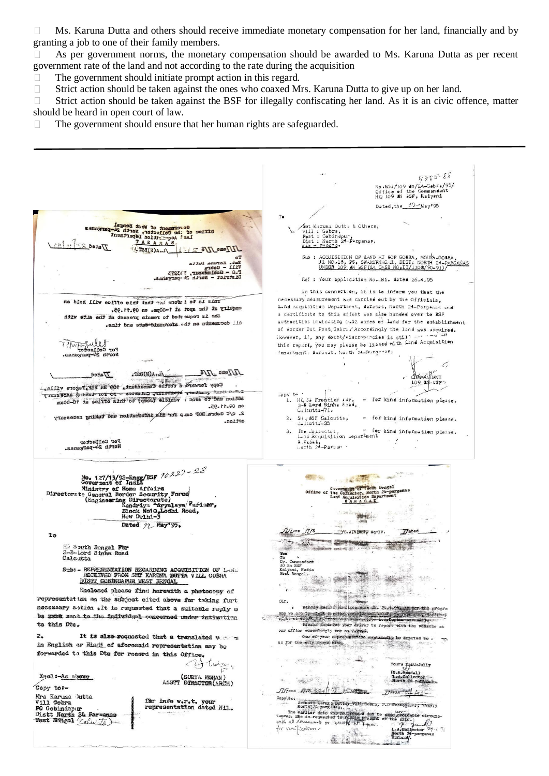$\Box$  Ms. Karuna Dutta and others should receive immediate monetary compensation for her land, financially and by granting a job to one of their family members.

 As per government norms, the monetary compensation should be awarded to Ms. Karuna Dutta as per recent government rate of the land and not according to the rate during the acquisition

 The government should initiate prompt action in this regard.  $\Box$ 

 Strict action should be taken against the ones who coaxed Mrs. Karuna Dutta to give up on her land.  $\Box$ 

 Strict action should be taken against the BSF for illegally confiscating her land. As it is an civic offence, matter  $\Box$ should be heard in open court of law.

 $\Box$ The government should ensure that her human rights are safeguarded.

 $4785.88$ No.Ek3/109 En/LA-Gebra/95/<br>Office of the Commandant<br>HQ 109 EN aSF, Kalyani Dated, the C2-May'95 T. Gevernment of West Bengal<br>
of the Collector, North 24-pargemes<br>
Land Acquisition Department<br>
Land Ann Ann Repartment<br>  $\frac{1}{2}$  Ann Ann Repartment<br>  $\frac{1}{2}$  Ann Ann Repartment<br>  $\frac{1}{2}$  Ann Ann Repartment Smt Karuna Dutts & Others,<br>Vill : Gobra, Smt Karuna Dutts & Others<br>Vill : Gobra,<br>Post : Gobindpur,<br>Dist : North 24-P-rganas,<br>Fin - 793612.  $\sqrt{110}$  $20\sqrt{10}$ 7ated  $\pi$  and  $\pi$  $V$ . T28 $(W)$ A. ACQUISITION OF LAND AT BOP GOBRA, MOUZA-GOBRA,<br>JL NO.18, PS, SWARUPNAG.R, DIST: NORTH 24-PARGANAS<br>UNDER 109 AN ISF(LA CASE NO.1I/1108/90-91)/  $Sub:$ oĨ Karuna Dutta Sut.<br>Vill runa rutta<br>Gobra<br>**oblndapur,** 7.3273<br>t - North 24 -pargs  $0.9$ Latrict - $00000$ : Your application No. Ni. dated 26.4.95 Ref In this cennection, it is to inform you that the necessary measurement wes carried out by the Officials, This is to inform her that this office will hold an Lund Acquisition Department, Jarasat, North 24-Pargenss and enquiry at the spot at 1-oopm. on 09.11.95. a certificate to this effect was also handed over to BSF She is requested to remain present at the site with authorities indicating 0.52 acres of land for the establishment all documents on the aforesaid date and time. of Sorder Out Post Gobra. Accordingly the land was acquired. However, if, any doubt/wiscrepencies is still nowever, if, any county miscrepencies is still and Acquisition<br>this regard, you may plase be liased with Land Acquisition Department. Barasat. North 24-Dargenas,  $\mathcal{L}_{i}$ SANG  $\sqrt{L}/2$ emo  $\sqrt{L}/5$  $A(M)$ <sub>4.4</sub>( $N$ )  $BST$ . 77ated editor b Briswiel vge3 Commandant, 109 Bn BSF, Tagore villa. jepv th  $rac{1}{2}$ 79 for taking hegessary hnee of bas noites HG S& Frontier ASP,<br>2-B Lord Sinha Road,<br>Calcutta-71. PERICIP (Jesp) to this office at 10-000mg for kind information please. ï. an 09.11.95. 2. O/C Gobra BOP car.p for aix information and taking necessary SH, ASF Calcutts, for kind information please.  $\overline{2}$ . action. for foliector, and for the collector, and for the series of the series of the series of the series of the series of the series of the series of the series of the series of the series of the series of the series of the seri for kind information please.  $3.$ For Collector<br>North 24-parganas. Esna Acquisition<br>Burasat,<br>Horth 24-Parian Ne. 127/13/92-Engg/ESF  $10.227 - 28$ <br>Governant of India<br>Ministry of Home Affairs **ARTIS AU**  $+ 4.4$ Woverment of Hada<br>
Ministry of Hame Affairs<br>
E General Border Security Force<br>
(Engineering Directorate)<br>
Mandriya Anyalaya Parisar,<br>
Hock Noto Lodhi Road,<br>
New Delhi-3 enment of<br>Collector<sub>o</sub> Director Dated 12 May 95. / / Zemo  $\overline{\mathcal{I}U}$  $/L.A(N)$ BST, Sq-IV  $\overline{U}$ a To HQ South Bengal Ftr<br>2-B-Lord Sinha Road<br>Calcutta  $\mathcal{L}$ **Dy.**<br>30<br>Kal Sub: - REPRESENTATION REGARDING ACQUISITION OF LARGE WED FROM SMT KARINA BHTTA VILL GORRA .<br>Nadis  $I - M$ DISTI GOBINDAPUR WEST BENGAL Enclosed please find herewith a photocopy of  $2.7277$ representation on the subject cited above for taking furt Sir, Kindly recall our iscussion dr. 24 t 06 necessary action . It is requested that a suitable reply a e are to statt f gibe venue(Cobra Boody Sy<br>Lat 10x15 are 1 emergency ises (1, brastent iar, Baairnet be week seat to the individual concerned under intimation were are to earned because it or by active Baramatics.<br>Please instruct year driver to report with the vehicle to this Me. our office accordingly ann on 7.24  $\overline{2}$ It is also requested that a translated v. of my One of your represent tive may ki ndly be deputed us for the site inspection. in English or Hindi of aforesaid representation may be I. III. forwarded to this Dte for record in this Office.  $5786 - 224$ Tours faithfully<br>(R.R.Mondal)<br>LeA.Collector<br>North 24-pargan  $L \rightarrow$ (SURYA MOHAN)<br>ASSTT DIRECTOR(ARCH) Encl:-As above ÷. Copy to:- $\frac{\sqrt{1}}{2}$ ano  $\frac{\sqrt{6}}{224}$  $15.1903$  $77 - 2711 = 2$  $\frac{J/IU^{000}J/I0-22411} \cdot J - J \cdot 4803332 - \frac{J}{2}3823 - 271/72$ <br>
Copy for structures and .<br>
and Scheme Taxe are postposized due to see avoidable eircum<br>
throes. She is requested to see and proposition is the site of<br>
the site Mrs Karuna hutta<br>Vill Gebra for info w.r.t. your<br>representation dated Nil. vill Geera<br>PO Gobindapur<br>Distt North 24 Parwane<br>West Bengal *(calinita)* iuv<br>me avoidable circum<br>the site.<br>1. A.Collector 23<br>Morth 24-parganas<br>Barasay. **Real Addi** i i dia